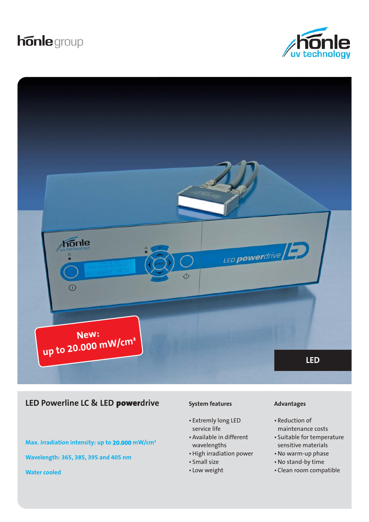# **honle** group





# **LED Powerline LC & LED powerdrive Advantages Advantages**

**Max. irradiation intensity: up to 20.000 mW/cm²**

• Extremly long LED service life

**System features**

- Available in different wavelengths
- High irradiation power
- Small size
- Low weight

- Reduction of maintenance costs
- Suitable for temperature sensitive materials
- No warm-up phase
- No stand-by time
- Clean room compatible

**Wavelength: 365, 385, 395 and 405 nm**

**Water cooled**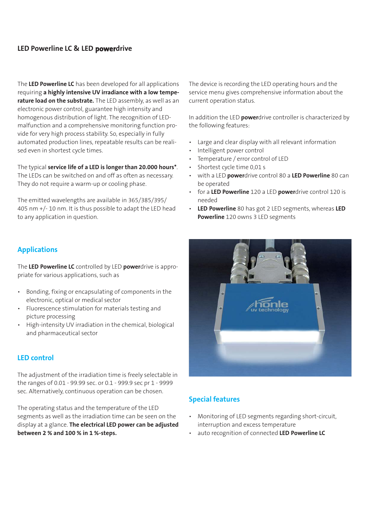# **LED Powerline LC & LED powerdrive**

The **LED Powerline LC** has been developed for all applications requiring **a highly intensive UV irradiance with a low temperature load on the substrate.** The LED assembly, as well as an electronic power control, guarantee high intensity and homogenous distribution of light. The recognition of LEDmalfunction and a comprehensive monitoring function provide for very high process stability. So, especially in fully automated production lines, repeatable results can be realised even in shortest cycle times.

The typical **service life of a LED is longer than 20.000 hours\***. The LEDs can be switched on and off as often as necessary. They do not require a warm-up or cooling phase.

The emitted wavelengths are available in 365/385/395/ 405 nm +/- 10 nm. It is thus possible to adapt the LED head to any application in question.

The device is recording the LED operating hours and the service menu gives comprehensive information about the current operation status.

In addition the LED **power**drive controller is characterized by the following features:

- Large and clear display with all relevant information
- Intelligent power control
- Temperature / error control of LED
- Shortest cycle time 0,01 s
- with a LED **power**drive control 80 a **LED Powerline** 80 can be operated
- for a **LED Powerline** 120 a LED **power**drive control 120 is needed
- **LED Powerline** 80 has got 2 LED segments, whereas **LED Powerline** 120 owns 3 LED segments

# **Applications**

The **LED Powerline LC** controlled by LED **power**drive is appropriate for various applications, such as

- Bonding, fixing or encapsulating of components in the electronic, optical or medical sector
- Fluorescence stimulation for materials testing and picture processing
- High-intensity UV irradiation in the chemical, biological and pharmaceutical sector

## **LED control**

The adjustment of the irradiation time is freely selectable in the ranges of 0.01 - 99.99 sec. or 0.1 - 999.9 sec pr 1 - 9999 sec. Alternatively, continuous operation can be chosen.

The operating status and the temperature of the LED segments as well as the irradiation time can be seen on the display at a glance. **The electrical LED power can be adjusted between 2 % and 100 % in 1 %-steps.** 



# **Special features**

- Monitoring of LED segments regarding short-circuit, interruption and excess temperature
- auto recognition of connected **LED Powerline LC**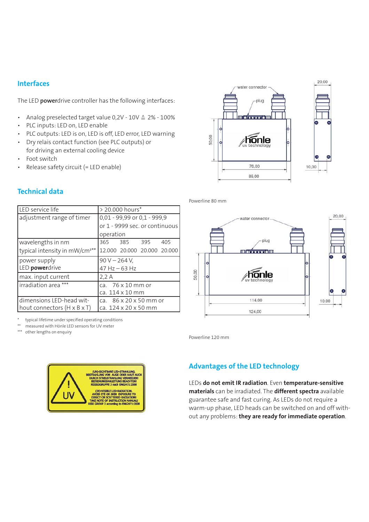# **Interfaces**

The LED **power**drive controller has the following interfaces:

- Analog preselected target value 0,2V 10V ≙ 2% 100%
- PLC inputs: LED on, LED enable
- PLC outputs: LED is on, LED is off, LED error, LED warning
- Dry relais contact function (see PLC outputs) or for driving an external cooling device
- Foot switch
- Release safety circuit (= LED enable)

# **Technical data**

| LED service life                          | > 20.000 hours*                    |
|-------------------------------------------|------------------------------------|
| adjustment range of timer                 | 0,01 - 99,99 or 0,1 - 999,9        |
|                                           | or 1 - 9999 sec. or continuous     |
|                                           | operation                          |
| wavelengths in nm                         | 365 385 395<br>405                 |
| typical intensity in mW/cm <sup>2**</sup> | 12.000 20.000 20.000 20.000        |
| power supply                              | $90 V - 264 V$ ,                   |
| LED <i>powerdrive</i>                     | $47$ Hz $-63$ Hz                   |
| max. input current                        | 2.2A                               |
| irradiation area ***                      | ca. $76 \times 10$ mm or           |
|                                           | ca. 114 x 10 mm                    |
| dimensions LED-head wit-                  | ca. $86 \times 20 \times 50$ mm or |
| hout connectors (H x B x T)               | ca. 124 x 20 x 50 mm               |

typical lifetime under specified operating conditions

\*\* measured with Hönle LED sensors for UV meter<br>\*\*\* other longths on enquiry.

other lengths on enquiry





Powerline 80 mm



Powerline 120 mm

# **Advantages of the LED technology**

LEDs **do not emit IR radiation**. Even **temperature-sensitive materials** can be irradiated. The **different spectra** available guarantee safe and fast curing. As LEDs do not require a warm-up phase, LED heads can be switched on and off without any problems: **they are ready for immediate operation**.